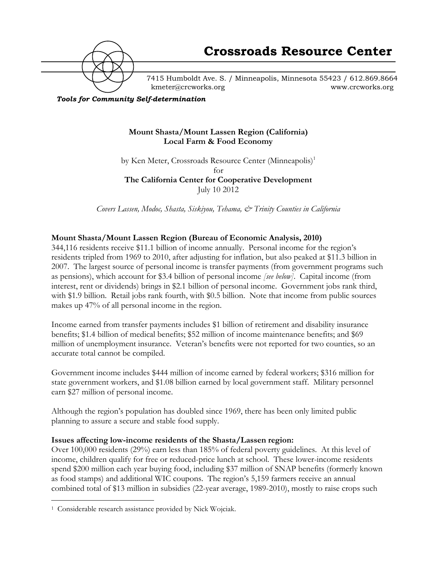

7415 Humboldt Ave. S. / Minneapolis, Minnesota 55423 / 612.869.8664 kmeter@crcworks.org www.crcworks.org

*Tools for Community Self-determination*

## **Mount Shasta/Mount Lassen Region (California) Local Farm & Food Economy**

by Ken Meter, Crossroads Resource Center (Minneapolis)<sup>1</sup> for **The California Center for Cooperative Development** July 10 2012

*Covers Lassen, Modoc, Shasta, Siskiyou, Tehama, & Trinity Counties in California*

# **Mount Shasta/Mount Lassen Region (Bureau of Economic Analysis, 2010)**

344,116 residents receive \$11.1 billion of income annually. Personal income for the region's residents tripled from 1969 to 2010, after adjusting for inflation, but also peaked at \$11.3 billion in 2007. The largest source of personal income is transfer payments (from government programs such as pensions), which account for \$3.4 billion of personal income *[see below]*. Capital income (from interest, rent or dividends) brings in \$2.1 billion of personal income. Government jobs rank third, with \$1.9 billion. Retail jobs rank fourth, with \$0.5 billion. Note that income from public sources makes up 47% of all personal income in the region.

Income earned from transfer payments includes \$1 billion of retirement and disability insurance benefits; \$1.4 billion of medical benefits; \$52 million of income maintenance benefits; and \$69 million of unemployment insurance. Veteran's benefits were not reported for two counties, so an accurate total cannot be compiled.

Government income includes \$444 million of income earned by federal workers; \$316 million for state government workers, and \$1.08 billion earned by local government staff. Military personnel earn \$27 million of personal income.

Although the region's population has doubled since 1969, there has been only limited public planning to assure a secure and stable food supply.

## **Issues affecting low-income residents of the Shasta/Lassen region:**

Over 100,000 residents (29%) earn less than 185% of federal poverty guidelines. At this level of income, children qualify for free or reduced-price lunch at school. These lower-income residents spend \$200 million each year buying food, including \$37 million of SNAP benefits (formerly known as food stamps) and additional WIC coupons. The region's 5,159 farmers receive an annual combined total of \$13 million in subsidies (22-year average, 1989-2010), mostly to raise crops such

 <sup>1</sup> Considerable research assistance provided by Nick Wojciak.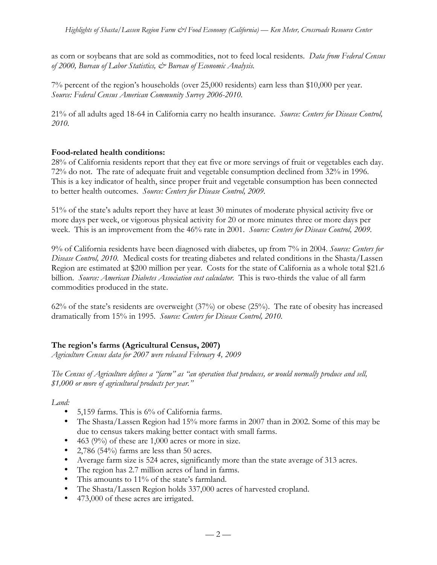as corn or soybeans that are sold as commodities, not to feed local residents. *Data from Federal Census of 2000, Bureau of Labor Statistics, & Bureau of Economic Analysis.*

7% percent of the region's households (over 25,000 residents) earn less than \$10,000 per year. *Source: Federal Census American Community Survey 2006-2010.*

21% of all adults aged 18-64 in California carry no health insurance. *Source: Centers for Disease Control, 2010.*

# **Food-related health conditions:**

28% of California residents report that they eat five or more servings of fruit or vegetables each day. 72% do not. The rate of adequate fruit and vegetable consumption declined from 32% in 1996. This is a key indicator of health, since proper fruit and vegetable consumption has been connected to better health outcomes. *Source: Centers for Disease Control, 2009.*

51% of the state's adults report they have at least 30 minutes of moderate physical activity five or more days per week, or vigorous physical activity for 20 or more minutes three or more days per week. This is an improvement from the 46% rate in 2001. *Source: Centers for Disease Control, 2009.*

9% of California residents have been diagnosed with diabetes, up from 7% in 2004. *Source: Centers for Disease Control, 2010.* Medical costs for treating diabetes and related conditions in the Shasta/Lassen Region are estimated at \$200 million per year. Costs for the state of California as a whole total \$21.6 billion. *Source: American Diabetes Association cost calculator*. This is two-thirds the value of all farm commodities produced in the state.

62% of the state's residents are overweight (37%) or obese (25%). The rate of obesity has increased dramatically from 15% in 1995. *Source: Centers for Disease Control, 2010.*

# **The region's farms (Agricultural Census, 2007)**

*Agriculture Census data for 2007 were released February 4, 2009*

*The Census of Agriculture defines a "farm" as "an operation that produces, or would normally produce and sell, \$1,000 or more of agricultural products per year."*

*Land:*

- 5,159 farms. This is 6% of California farms.
- The Shasta/Lassen Region had 15% more farms in 2007 than in 2002. Some of this may be due to census takers making better contact with small farms.
- 463 (9%) of these are 1,000 acres or more in size.
- 2,786 (54%) farms are less than 50 acres.
- Average farm size is 524 acres, significantly more than the state average of 313 acres.
- The region has 2.7 million acres of land in farms.
- This amounts to 11% of the state's farmland.
- The Shasta/Lassen Region holds 337,000 acres of harvested cropland.
- 473,000 of these acres are irrigated.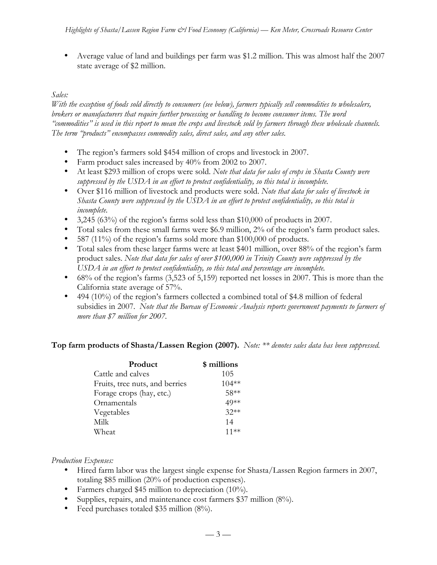• Average value of land and buildings per farm was \$1.2 million. This was almost half the 2007 state average of \$2 million.

# *Sales:*

*With the exception of foods sold directly to consumers (see below), farmers typically sell commodities to wholesalers, brokers or manufacturers that require further processing or handling to become consumer items. The word "commodities" is used in this report to mean the crops and livestock sold by farmers through these wholesale channels. The term "products" encompasses commodity sales, direct sales, and any other sales.*

- The region's farmers sold \$454 million of crops and livestock in 2007.
- Farm product sales increased by 40% from 2002 to 2007.
- At least \$293 million of crops were sold. *Note that data for sales of crops in Shasta County were suppressed by the USDA in an effort to protect confidentiality, so this total is incomplete.*
- Over \$116 million of livestock and products were sold. *Note that data for sales of livestock in Shasta County were suppressed by the USDA in an effort to protect confidentiality, so this total is incomplete.*
- 3,245 (63%) of the region's farms sold less than \$10,000 of products in 2007.
- Total sales from these small farms were \$6.9 million, 2% of the region's farm product sales.
- 587 (11%) of the region's farms sold more than \$100,000 of products.
- Total sales from these larger farms were at least \$401 million, over 88% of the region's farm product sales. *Note that data for sales of over \$100,000 in Trinity County were suppressed by the USDA in an effort to protect confidentiality, so this total and percentage are incomplete.*
- 68% of the region's farms (3,523 of 5,159) reported net losses in 2007. This is more than the California state average of 57%.
- 494 (10%) of the region's farmers collected a combined total of \$4.8 million of federal subsidies in 2007. *Note that the Bureau of Economic Analysis reports government payments to farmers of more than \$7 million for 2007.*

**Top farm products of Shasta/Lassen Region (2007).** *Note: \*\* denotes sales data has been suppressed.*

| Product                        | \$ millions |
|--------------------------------|-------------|
| Cattle and calves              | 105         |
| Fruits, tree nuts, and berries | $104**$     |
| Forage crops (hay, etc.)       | 58**        |
| Ornamentals                    | 49**        |
| Vegetables                     | $32**$      |
| Milk                           | 14          |
| Wheat                          | 11**        |

*Production Expenses:*

- Hired farm labor was the largest single expense for Shasta/Lassen Region farmers in 2007, totaling \$85 million (20% of production expenses).
- Farmers charged \$45 million to depreciation (10%).
- Supplies, repairs, and maintenance cost farmers \$37 million (8%).
- Feed purchases totaled \$35 million (8%).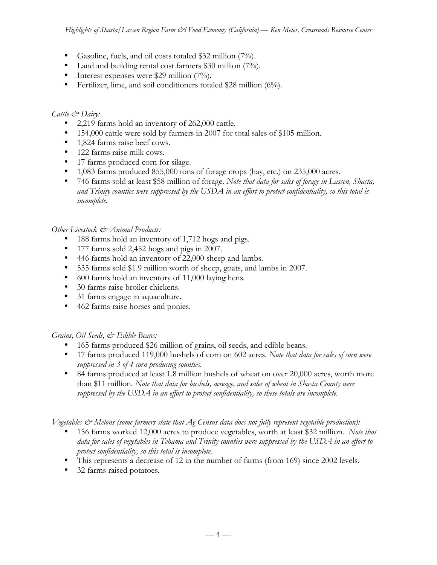- Gasoline, fuels, and oil costs totaled \$32 million (7%).
- Land and building rental cost farmers \$30 million (7%).
- Interest expenses were \$29 million  $(7\%)$ .
- Fertilizer, lime, and soil conditioners totaled \$28 million (6%).

# *Cattle & Dairy:*

- 2,219 farms hold an inventory of 262,000 cattle.
- 154,000 cattle were sold by farmers in 2007 for total sales of \$105 million.
- 1,824 farms raise beef cows.
- 122 farms raise milk cows.
- 17 farms produced corn for silage.
- 1,083 farms produced 855,000 tons of forage crops (hay, etc.) on 235,000 acres.
- 746 farms sold at least \$58 million of forage. *Note that data for sales of forage in Lassen, Shasta, and Trinity counties were suppressed by the USDA in an effort to protect confidentiality, so this total is incomplete.*

# *Other Livestock & Animal Products:*

- 188 farms hold an inventory of 1,712 hogs and pigs.
- 177 farms sold 2,452 hogs and pigs in 2007.
- 446 farms hold an inventory of 22,000 sheep and lambs.
- 535 farms sold \$1.9 million worth of sheep, goats, and lambs in 2007.
- 600 farms hold an inventory of 11,000 laying hens*.*
- 30 farms raise broiler chickens.
- 31 farms engage in aquaculture.
- 462 farms raise horses and ponies.

# *Grains, Oil Seeds, & Edible Beans:*

- 165 farms produced \$26 million of grains, oil seeds, and edible beans.
- 17 farms produced 119,000 bushels of corn on 602 acres. *Note that data for sales of corn were suppressed in 3 of 4 corn producing counties.*
- 84 farms produced at least 1.8 million bushels of wheat on over 20,000 acres, worth more than \$11 million. *Note that data for bushels, acreage, and sales of wheat in Shasta County were suppressed by the USDA in an effort to protect confidentiality, so these totals are incomplete.*

*Vegetables & Melons (some farmers state that Ag Census data does not fully represent vegetable production):*

- 156 farms worked 12,000 acres to produce vegetables, worth at least \$32 million. *Note that data for sales of vegetables in Tehama and Trinity counties were suppressed by the USDA in an effort to protect confidentiality, so this total is incomplete.*
- This represents a decrease of 12 in the number of farms (from 169) since 2002 levels.
- 32 farms raised potatoes*.*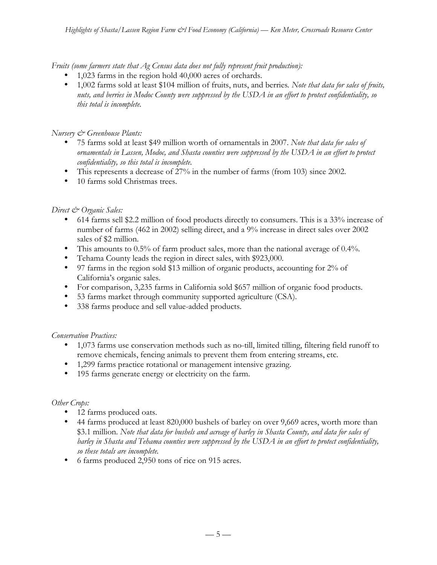*Fruits (some farmers state that Ag Census data does not fully represent fruit production):*

- 1,023 farms in the region hold 40,000 acres of orchards.
- 1,002 farms sold at least \$104 million of fruits, nuts, and berries*. Note that data for sales of fruits, nuts, and berries in Modoc County were suppressed by the USDA in an effort to protect confidentiality, so this total is incomplete.*

## *Nursery & Greenhouse Plants:*

- 75 farms sold at least \$49 million worth of ornamentals in 2007. *Note that data for sales of ornamentals in Lassen, Modoc, and Shasta counties were suppressed by the USDA in an effort to protect confidentiality, so this total is incomplete.*
- This represents a decrease of 27% in the number of farms (from 103) since 2002.
- 10 farms sold Christmas trees.

# *Direct & Organic Sales:*

- 614 farms sell \$2.2 million of food products directly to consumers. This is a 33% increase of number of farms (462 in 2002) selling direct, and a 9% increase in direct sales over 2002 sales of \$2 million.
- This amounts to 0.5% of farm product sales, more than the national average of 0.4%.
- Tehama County leads the region in direct sales, with \$923,000.
- 97 farms in the region sold \$13 million of organic products, accounting for 2% of California's organic sales.
- For comparison, 3,235 farms in California sold \$657 million of organic food products.
- 53 farms market through community supported agriculture (CSA).
- 338 farms produce and sell value-added products.

## *Conservation Practices:*

- 1,073 farms use conservation methods such as no-till, limited tilling, filtering field runoff to remove chemicals, fencing animals to prevent them from entering streams, etc.
- 1,299 farms practice rotational or management intensive grazing.
- 195 farms generate energy or electricity on the farm.

## *Other Crops:*

- 12 farms produced oats.
- 44 farms produced at least 820,000 bushels of barley on over 9,669 acres, worth more than \$3.1 million. *Note that data for bushels and acreage of barley in Shasta County, and data for sales of barley in Shasta and Tehama counties were suppressed by the USDA in an effort to protect confidentiality, so these totals are incomplete.*
- 6 farms produced 2,950 tons of rice on 915 acres.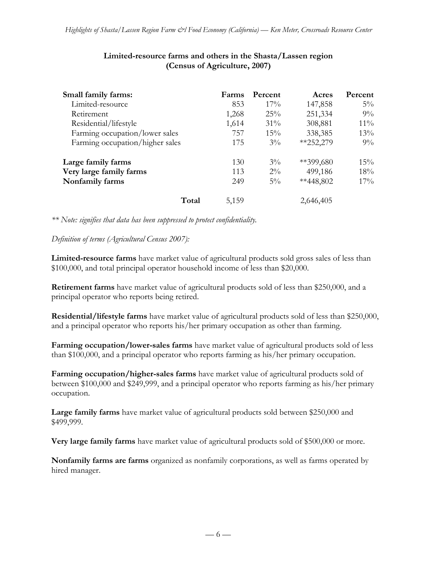| Small family farms:             | Farms | Percent | Acres       | <b>Percent</b> |
|---------------------------------|-------|---------|-------------|----------------|
| Limited-resource                | 853   | 17%     | 147,858     | $5\%$          |
| Retirement                      | 1,268 | 25%     | 251,334     | $9\%$          |
| Residential/lifestyle           | 1,614 | 31%     | 308,881     | $11\%$         |
| Farming occupation/lower sales  | 757   | $15\%$  | 338,385     | 13%            |
| Farming occupation/higher sales | 175   | $3\%$   | $*252,279$  | $9\%$          |
| Large family farms              | 130   | $3\%$   | $**399,680$ | 15%            |
| Very large family farms         | 113   | $2\%$   | 499,186     | 18%            |
| Nonfamily farms                 | 249   | $5\%$   | **448,802   | $17\%$         |
| Total                           | 5,159 |         | 2,646,405   |                |

## **Limited-resource farms and others in the Shasta/Lassen region (Census of Agriculture, 2007)**

*\*\* Note: signifies that data has been suppressed to protect confidentiality.*

*Definition of terms (Agricultural Census 2007):*

**Limited-resource farms** have market value of agricultural products sold gross sales of less than \$100,000, and total principal operator household income of less than \$20,000.

**Retirement farms** have market value of agricultural products sold of less than \$250,000, and a principal operator who reports being retired.

**Residential/lifestyle farms** have market value of agricultural products sold of less than \$250,000, and a principal operator who reports his/her primary occupation as other than farming.

**Farming occupation/lower-sales farms** have market value of agricultural products sold of less than \$100,000, and a principal operator who reports farming as his/her primary occupation.

**Farming occupation/higher-sales farms** have market value of agricultural products sold of between \$100,000 and \$249,999, and a principal operator who reports farming as his/her primary occupation.

**Large family farms** have market value of agricultural products sold between \$250,000 and \$499,999.

**Very large family farms** have market value of agricultural products sold of \$500,000 or more.

**Nonfamily farms are farms** organized as nonfamily corporations, as well as farms operated by hired manager.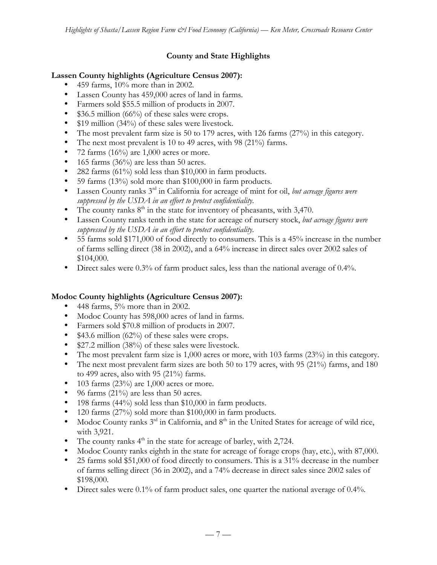# **County and State Highlights**

## **Lassen County highlights (Agriculture Census 2007):**

- 459 farms,  $10\%$  more than in 2002.
- Lassen County has 459,000 acres of land in farms.
- Farmers sold \$55.5 million of products in 2007.
- \$36.5 million (66%) of these sales were crops.
- \$19 million (34%) of these sales were livestock.
- The most prevalent farm size is 50 to 179 acres, with 126 farms (27%) in this category.
- The next most prevalent is 10 to 49 acres, with 98 (21%) farms.
- 72 farms  $(16\%)$  are 1,000 acres or more.
- 165 farms (36%) are less than 50 acres.
- 282 farms (61%) sold less than \$10,000 in farm products.
- 59 farms (13%) sold more than \$100,000 in farm products.
- Lassen County ranks 3rd in California for acreage of mint for oil, *but acreage figures were suppressed by the USDA in an effort to protect confidentiality.*
- The county ranks  $8<sup>th</sup>$  in the state for inventory of pheasants, with 3,470.
- Lassen County ranks tenth in the state for acreage of nursery stock, *but acreage figures were suppressed by the USDA in an effort to protect confidentiality.*
- 55 farms sold \$171,000 of food directly to consumers. This is a 45% increase in the number of farms selling direct (38 in 2002), and a 64% increase in direct sales over 2002 sales of \$104,000.
- Direct sales were 0.3% of farm product sales, less than the national average of 0.4%.

# **Modoc County highlights (Agriculture Census 2007):**

- 448 farms,  $5\%$  more than in 2002.
- Modoc County has 598,000 acres of land in farms.
- Farmers sold \$70.8 million of products in 2007.
- \$43.6 million (62%) of these sales were crops.
- \$27.2 million (38%) of these sales were livestock.
- The most prevalent farm size is 1,000 acres or more, with 103 farms (23%) in this category.
- The next most prevalent farm sizes are both 50 to 179 acres, with 95 (21%) farms, and 180 to 499 acres, also with 95 (21%) farms.
- 103 farms  $(23\%)$  are 1,000 acres or more.
- 96 farms (21%) are less than 50 acres.
- 198 farms (44%) sold less than \$10,000 in farm products.
- 120 farms (27%) sold more than \$100,000 in farm products.
- Modoc County ranks  $3<sup>rd</sup>$  in California, and  $8<sup>th</sup>$  in the United States for acreage of wild rice, with 3,921.
- The county ranks  $4<sup>th</sup>$  in the state for acreage of barley, with 2,724.
- Modoc County ranks eighth in the state for acreage of forage crops (hay, etc.), with 87,000.
- 25 farms sold \$51,000 of food directly to consumers. This is a 31% decrease in the number of farms selling direct (36 in 2002), and a 74% decrease in direct sales since 2002 sales of \$198,000.
- Direct sales were 0.1% of farm product sales, one quarter the national average of 0.4%.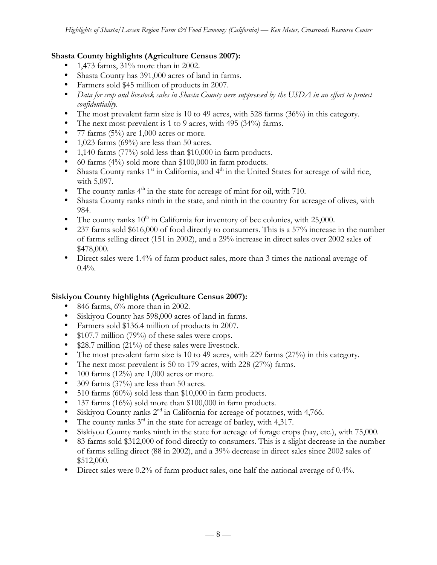## **Shasta County highlights (Agriculture Census 2007):**

- 1,473 farms, 31% more than in 2002.
- Shasta County has 391,000 acres of land in farms.
- Farmers sold \$45 million of products in 2007.
- *Data for crop and livestock sales in Shasta County were suppressed by the USDA in an effort to protect confidentiality.*
- The most prevalent farm size is 10 to 49 acres, with 528 farms (36%) in this category.
- The next most prevalent is 1 to 9 acres, with 495 (34%) farms.
- 77 farms  $(5\%)$  are 1,000 acres or more.
- 1,023 farms (69%) are less than 50 acres.
- 1,140 farms (77%) sold less than \$10,000 in farm products.
- 60 farms (4%) sold more than \$100,000 in farm products.
- Shasta County ranks  $1<sup>st</sup>$  in California, and  $4<sup>th</sup>$  in the United States for acreage of wild rice, with 5,097.
- The county ranks  $4<sup>th</sup>$  in the state for acreage of mint for oil, with 710.
- Shasta County ranks ninth in the state, and ninth in the country for acreage of olives, with 984.
- The county ranks  $10<sup>th</sup>$  in California for inventory of bee colonies, with 25,000.
- 237 farms sold \$616,000 of food directly to consumers. This is a 57% increase in the number of farms selling direct (151 in 2002), and a 29% increase in direct sales over 2002 sales of \$478,000.
- Direct sales were 1.4% of farm product sales, more than 3 times the national average of  $0.4\%$ .

## **Siskiyou County highlights (Agriculture Census 2007):**

- 846 farms, 6% more than in 2002.
- Siskiyou County has 598,000 acres of land in farms.
- Farmers sold \$136.4 million of products in 2007.
- \$107.7 million (79%) of these sales were crops.
- \$28.7 million (21%) of these sales were livestock.
- The most prevalent farm size is 10 to 49 acres, with 229 farms (27%) in this category.
- The next most prevalent is 50 to 179 acres, with 228 (27%) farms.
- 100 farms  $(12\%)$  are 1,000 acres or more.
- 309 farms (37%) are less than 50 acres.
- 510 farms (60%) sold less than \$10,000 in farm products.
- 137 farms (16%) sold more than \$100,000 in farm products.
- Siskiyou County ranks  $2<sup>nd</sup>$  in California for acreage of potatoes, with 4,766.
- The county ranks  $3^{rd}$  in the state for acreage of barley, with 4,317.
- Siskiyou County ranks ninth in the state for acreage of forage crops (hay, etc.), with 75,000.
- 83 farms sold \$312,000 of food directly to consumers. This is a slight decrease in the number of farms selling direct (88 in 2002), and a 39% decrease in direct sales since 2002 sales of \$512,000.
- Direct sales were 0.2% of farm product sales, one half the national average of 0.4%.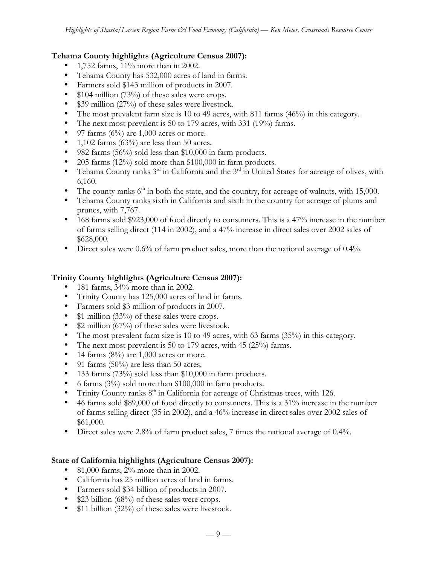## **Tehama County highlights (Agriculture Census 2007):**

- 1,752 farms, 11% more than in 2002.
- Tehama County has 532,000 acres of land in farms.
- Farmers sold \$143 million of products in 2007.
- \$104 million (73%) of these sales were crops.
- \$39 million (27%) of these sales were livestock.
- The most prevalent farm size is 10 to 49 acres, with 811 farms (46%) in this category.
- The next most prevalent is 50 to 179 acres, with 331 (19%) farms.
- 97 farms  $(6\%)$  are 1,000 acres or more.
- 1,102 farms (63%) are less than 50 acres.
- 982 farms (56%) sold less than \$10,000 in farm products.
- 205 farms (12%) sold more than \$100,000 in farm products.
- Tehama County ranks  $3^{rd}$  in California and the  $3^{rd}$  in United States for acreage of olives, with 6,160.
- The county ranks  $6<sup>th</sup>$  in both the state, and the country, for acreage of walnuts, with 15,000.
- Tehama County ranks sixth in California and sixth in the country for acreage of plums and prunes, with 7,767.
- 168 farms sold \$923,000 of food directly to consumers. This is a 47% increase in the number of farms selling direct (114 in 2002), and a 47% increase in direct sales over 2002 sales of \$628,000.
- Direct sales were 0.6% of farm product sales, more than the national average of 0.4%.

## **Trinity County highlights (Agriculture Census 2007):**

- 181 farms, 34% more than in 2002.
- Trinity County has 125,000 acres of land in farms.
- Farmers sold \$3 million of products in 2007.
- \$1 million (33%) of these sales were crops.
- \$2 million (67%) of these sales were livestock.
- The most prevalent farm size is 10 to 49 acres, with 63 farms (35%) in this category.
- The next most prevalent is 50 to 179 acres, with 45 (25%) farms.
- 14 farms  $(8\%)$  are 1,000 acres or more.
- 91 farms (50%) are less than 50 acres.
- 133 farms (73%) sold less than \$10,000 in farm products.
- 6 farms (3%) sold more than \$100,000 in farm products.
- Trinity County ranks  $8<sup>th</sup>$  in California for acreage of Christmas trees, with 126.
- 46 farms sold \$89,000 of food directly to consumers. This is a 31% increase in the number of farms selling direct (35 in 2002), and a 46% increase in direct sales over 2002 sales of \$61,000.
- Direct sales were 2.8% of farm product sales, 7 times the national average of 0.4%.

## **State of California highlights (Agriculture Census 2007):**

- 81,000 farms, 2% more than in 2002.
- California has 25 million acres of land in farms.
- Farmers sold \$34 billion of products in 2007.
- \$23 billion (68%) of these sales were crops.
- \$11 billion (32%) of these sales were livestock.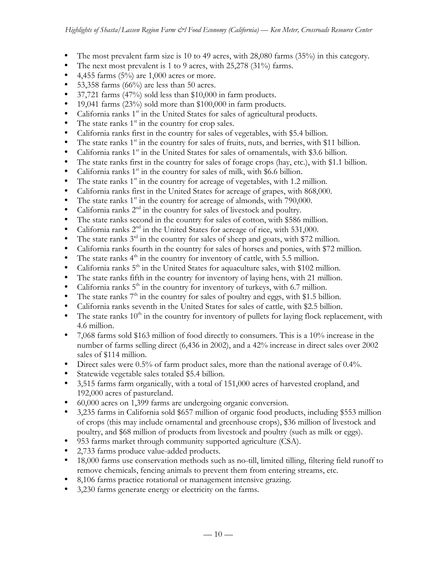- The most prevalent farm size is 10 to 49 acres, with  $28,080$  farms  $(35%)$  in this category.
- The next most prevalent is 1 to 9 acres, with 25,278 (31%) farms.
- 4,455 farms  $(5\%)$  are 1,000 acres or more.
- 53,358 farms  $(66\%)$  are less than 50 acres.
- 37,721 farms (47%) sold less than \$10,000 in farm products.
- 19,041 farms (23%) sold more than \$100,000 in farm products.
- California ranks  $1<sup>st</sup>$  in the United States for sales of agricultural products.
- The state ranks  $1<sup>st</sup>$  in the country for crop sales.
- California ranks first in the country for sales of vegetables, with \$5.4 billion.
- The state ranks  $1<sup>st</sup>$  in the country for sales of fruits, nuts, and berries, with \$11 billion.
- California ranks  $1<sup>st</sup>$  in the United States for sales of ornamentals, with \$3.6 billion.
- The state ranks first in the country for sales of forage crops (hay, etc.), with \$1.1 billion.
- California ranks  $1<sup>st</sup>$  in the country for sales of milk, with \$6.6 billion.
- The state ranks  $1<sup>st</sup>$  in the country for acreage of vegetables, with 1.2 million.
- California ranks first in the United States for acreage of grapes, with 868,000.
- The state ranks  $1<sup>st</sup>$  in the country for acreage of almonds, with 790,000.
- California ranks  $2<sup>nd</sup>$  in the country for sales of livestock and poultry.
- The state ranks second in the country for sales of cotton, with \$586 million.
- California ranks  $2<sup>nd</sup>$  in the United States for acreage of rice, with 531,000.
- The state ranks  $3<sup>rd</sup>$  in the country for sales of sheep and goats, with \$72 million.
- California ranks fourth in the country for sales of horses and ponies, with \$72 million.
- The state ranks  $4<sup>th</sup>$  in the country for inventory of cattle, with 5.5 million.
- California ranks  $5<sup>th</sup>$  in the United States for aquaculture sales, with \$102 million.
- The state ranks fifth in the country for inventory of laying hens, with 21 million.
- California ranks  $5<sup>th</sup>$  in the country for inventory of turkeys, with 6.7 million.
- The state ranks  $7<sup>th</sup>$  in the country for sales of poultry and eggs, with \$1.5 billion.
- California ranks seventh in the United States for sales of cattle, with \$2.5 billion.
- The state ranks  $10<sup>th</sup>$  in the country for inventory of pullets for laying flock replacement, with 4.6 million.
- 7,068 farms sold \$163 million of food directly to consumers. This is a 10% increase in the number of farms selling direct (6,436 in 2002), and a 42% increase in direct sales over 2002 sales of \$114 million.
- Direct sales were 0.5% of farm product sales, more than the national average of 0.4%.
- Statewide vegetable sales totaled \$5.4 billion.
- 3,515 farms farm organically, with a total of 151,000 acres of harvested cropland, and 192,000 acres of pastureland.
- 60,000 acres on 1,399 farms are undergoing organic conversion.
- 3,235 farms in California sold \$657 million of organic food products, including \$553 million of crops (this may include ornamental and greenhouse crops), \$36 million of livestock and poultry, and \$68 million of products from livestock and poultry (such as milk or eggs).
- 953 farms market through community supported agriculture (CSA).
- 2,733 farms produce value-added products.
- 18,000 farms use conservation methods such as no-till, limited tilling, filtering field runoff to remove chemicals, fencing animals to prevent them from entering streams, etc.
- 8,106 farms practice rotational or management intensive grazing.
- 3,230 farms generate energy or electricity on the farms.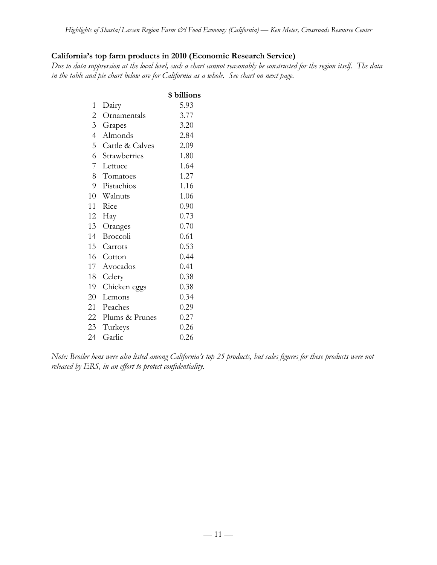## **California's top farm products in 2010 (Economic Research Service)**

*Due to data suppression at the local level, such a chart cannot reasonably be constructed for the region itself. The data in the table and pie chart below are for California as a whole. See chart on next page.*

|                |                 | \$ billions |
|----------------|-----------------|-------------|
| $\mathbf{1}$   | Dairy           | 5.93        |
| $\overline{2}$ | Ornamentals     | 3.77        |
| 3 <sup>7</sup> | Grapes          | 3.20        |
| $\overline{4}$ | Almonds         | 2.84        |
| 5 <sup>5</sup> | Cattle & Calves | 2.09        |
| 6              | Strawberries    | 1.80        |
| 7              | Lettuce         | 1.64        |
| 8              | Tomatoes        | 1.27        |
| 9              | Pistachios      | 1.16        |
| 10             | Walnuts         | 1.06        |
| 11             | Rice            | 0.90        |
| 12             | Hay             | 0.73        |
| 13             | Oranges         | 0.70        |
| 14             | Broccoli        | 0.61        |
| 15             | Carrots         | 0.53        |
| 16             | Cotton          | 0.44        |
| 17             | Avocados        | 0.41        |
| 18             | Celery          | 0.38        |
| 19             | Chicken eggs    | 0.38        |
| 20             | Lemons          | 0.34        |
| 21             | Peaches         | 0.29        |
| 22             | Plums & Prunes  | 0.27        |
| 23             | Turkeys         | 0.26        |
| 24             | Garlic          | 0.26        |
|                |                 |             |

*Note: Broiler hens were also listed among California's top 25 products, but sales figures for these products were not released by ERS, in an effort to protect confidentiality.*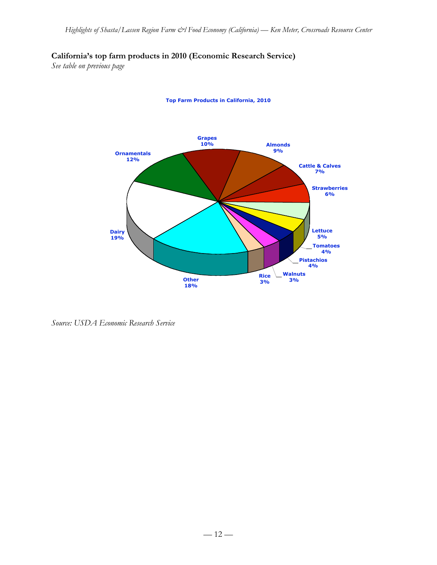# **California's top farm products in 2010 (Economic Research Service)**

*See table on previous page*



**Top Farm Products in California, 2010**

*Source: USDA Economic Research Service*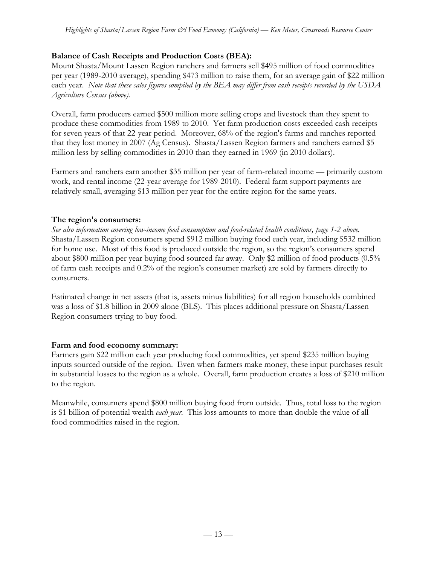## **Balance of Cash Receipts and Production Costs (BEA):**

Mount Shasta/Mount Lassen Region ranchers and farmers sell \$495 million of food commodities per year (1989-2010 average), spending \$473 million to raise them, for an average gain of \$22 million each year. *Note that these sales figures compiled by the BEA may differ from cash receipts recorded by the USDA Agriculture Census (above).*

Overall, farm producers earned \$500 million more selling crops and livestock than they spent to produce these commodities from 1989 to 2010. Yet farm production costs exceeded cash receipts for seven years of that 22-year period. Moreover, 68% of the region's farms and ranches reported that they lost money in 2007 (Ag Census). Shasta/Lassen Region farmers and ranchers earned \$5 million less by selling commodities in 2010 than they earned in 1969 (in 2010 dollars).

Farmers and ranchers earn another \$35 million per year of farm-related income — primarily custom work, and rental income (22-year average for 1989-2010). Federal farm support payments are relatively small, averaging \$13 million per year for the entire region for the same years.

## **The region's consumers:**

*See also information covering low-income food consumption and food-related health conditions, page 1-2 above.* Shasta/Lassen Region consumers spend \$912 million buying food each year, including \$532 million for home use. Most of this food is produced outside the region, so the region's consumers spend about \$800 million per year buying food sourced far away. Only \$2 million of food products (0.5% of farm cash receipts and 0.2% of the region's consumer market) are sold by farmers directly to consumers.

Estimated change in net assets (that is, assets minus liabilities) for all region households combined was a loss of \$1.8 billion in 2009 alone (BLS). This places additional pressure on Shasta/Lassen Region consumers trying to buy food.

# **Farm and food economy summary:**

Farmers gain \$22 million each year producing food commodities, yet spend \$235 million buying inputs sourced outside of the region. Even when farmers make money, these input purchases result in substantial losses to the region as a whole. Overall, farm production creates a loss of \$210 million to the region.

Meanwhile, consumers spend \$800 million buying food from outside. Thus, total loss to the region is \$1 billion of potential wealth *each year*. This loss amounts to more than double the value of all food commodities raised in the region.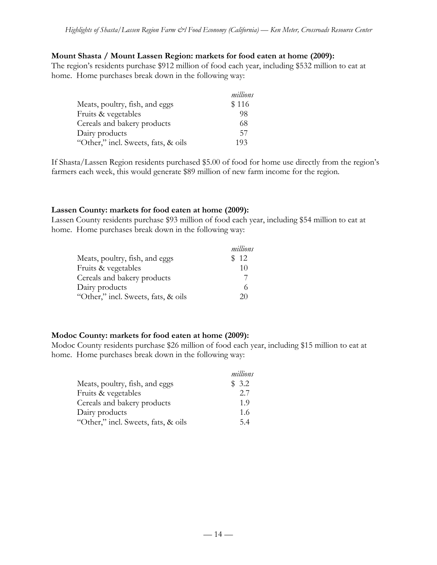#### **Mount Shasta / Mount Lassen Region: markets for food eaten at home (2009):**

The region's residents purchase \$912 million of food each year, including \$532 million to eat at home. Home purchases break down in the following way:

|                                     | millions |
|-------------------------------------|----------|
| Meats, poultry, fish, and eggs      | \$116    |
| Fruits & vegetables                 | 98       |
| Cereals and bakery products         | 68       |
| Dairy products                      | 57       |
| "Other," incl. Sweets, fats, & oils | 193      |

If Shasta/Lassen Region residents purchased \$5.00 of food for home use directly from the region's farmers each week, this would generate \$89 million of new farm income for the region.

#### **Lassen County: markets for food eaten at home (2009):**

Lassen County residents purchase \$93 million of food each year, including \$54 million to eat at home. Home purchases break down in the following way:

|                                     | millions |
|-------------------------------------|----------|
| Meats, poultry, fish, and eggs      | \$12     |
| Fruits & vegetables                 | 10       |
| Cereals and bakery products         |          |
| Dairy products                      |          |
| "Other," incl. Sweets, fats, & oils | 20       |

## **Modoc County: markets for food eaten at home (2009):**

Modoc County residents purchase \$26 million of food each year, including \$15 million to eat at home. Home purchases break down in the following way:

|                                     | millions |
|-------------------------------------|----------|
| Meats, poultry, fish, and eggs      | \$3.2    |
| Fruits & vegetables                 | 2.7      |
| Cereals and bakery products         | 1.9      |
| Dairy products                      | 1.6      |
| "Other," incl. Sweets, fats, & oils | 54       |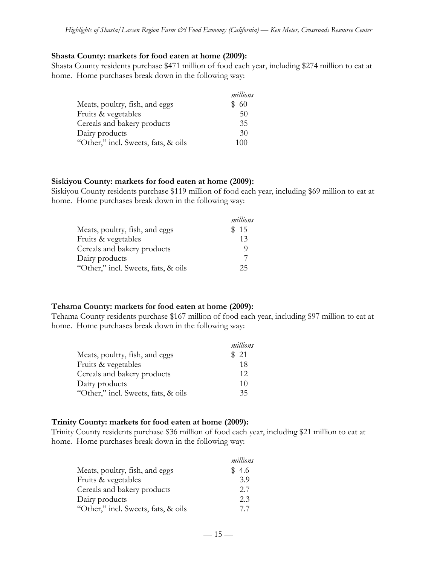#### **Shasta County: markets for food eaten at home (2009):**

Shasta County residents purchase \$471 million of food each year, including \$274 million to eat at home. Home purchases break down in the following way:

|                                     | millions |
|-------------------------------------|----------|
| Meats, poultry, fish, and eggs      | -60      |
| Fruits & vegetables                 | 50       |
| Cereals and bakery products         | 35       |
| Dairy products                      | 30       |
| "Other," incl. Sweets, fats, & oils | 100      |

#### **Siskiyou County: markets for food eaten at home (2009):**

Siskiyou County residents purchase \$119 million of food each year, including \$69 million to eat at home. Home purchases break down in the following way:

|                                     | millions |
|-------------------------------------|----------|
| Meats, poultry, fish, and eggs      | \$15     |
| Fruits & vegetables                 | 13       |
| Cereals and bakery products         |          |
| Dairy products                      |          |
| "Other," incl. Sweets, fats, & oils | 25       |

## **Tehama County: markets for food eaten at home (2009):**

Tehama County residents purchase \$167 million of food each year, including \$97 million to eat at home. Home purchases break down in the following way:

|                                     | millions |
|-------------------------------------|----------|
| Meats, poultry, fish, and eggs      | \$ 21    |
| Fruits & vegetables                 | 18       |
| Cereals and bakery products         | 12       |
| Dairy products                      | 10       |
| "Other," incl. Sweets, fats, & oils | 35       |

## **Trinity County: markets for food eaten at home (2009):**

Trinity County residents purchase \$36 million of food each year, including \$21 million to eat at home. Home purchases break down in the following way:

|                                     | millions |
|-------------------------------------|----------|
| Meats, poultry, fish, and eggs      | \$ 4.6   |
| Fruits & vegetables                 | 3.9      |
| Cereals and bakery products         | 2.7      |
| Dairy products                      | 2.3      |
| "Other," incl. Sweets, fats, & oils | 77       |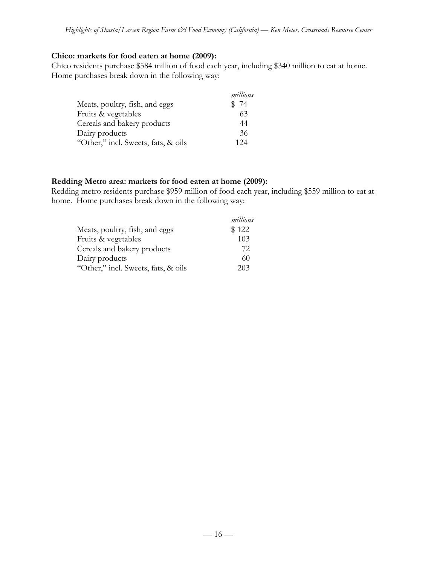#### **Chico: markets for food eaten at home (2009):**

Chico residents purchase \$584 million of food each year, including \$340 million to eat at home. Home purchases break down in the following way:

|                                     | millions |
|-------------------------------------|----------|
| Meats, poultry, fish, and eggs      | \$74     |
| Fruits & vegetables                 | 63       |
| Cereals and bakery products         | 44       |
| Dairy products                      | 36       |
| "Other," incl. Sweets, fats, & oils | 124      |

#### **Redding Metro area: markets for food eaten at home (2009):**

Redding metro residents purchase \$959 million of food each year, including \$559 million to eat at home. Home purchases break down in the following way:

|                                     | millions |
|-------------------------------------|----------|
| Meats, poultry, fish, and eggs      | \$122    |
| Fruits & vegetables                 | 103      |
| Cereals and bakery products         | 72       |
| Dairy products                      | 60       |
| "Other," incl. Sweets, fats, & oils | 203      |